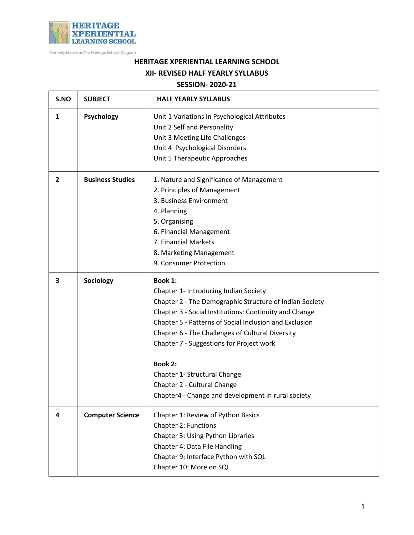

Formerly known as The Heritage School, Gurgaon

## **HERITAGE XPERIENTIAL LEARNING SCHOOL XII- REVISED HALF YEARLY SYLLABUS**

## **SESSION- 2020-21**

| S.NO           | <b>SUBJECT</b>          | <b>HALF YEARLY SYLLABUS</b>                                                                                                                                                                                                                                                                                                                                                                                                                                            |
|----------------|-------------------------|------------------------------------------------------------------------------------------------------------------------------------------------------------------------------------------------------------------------------------------------------------------------------------------------------------------------------------------------------------------------------------------------------------------------------------------------------------------------|
| 1              | <b>Psychology</b>       | Unit 1 Variations in Psychological Attributes<br>Unit 2 Self and Personality<br>Unit 3 Meeting Life Challenges<br>Unit 4 Psychological Disorders<br>Unit 5 Therapeutic Approaches                                                                                                                                                                                                                                                                                      |
| $\overline{2}$ | <b>Business Studies</b> | 1. Nature and Significance of Management<br>2. Principles of Management<br>3. Business Environment<br>4. Planning<br>5. Organising<br>6. Financial Management<br>7. Financial Markets<br>8. Marketing Management<br>9. Consumer Protection                                                                                                                                                                                                                             |
| 3              | Sociology               | Book 1:<br>Chapter 1- Introducing Indian Society<br>Chapter 2 - The Demographic Structure of Indian Society<br>Chapter 3 - Social Institutions: Continuity and Change<br>Chapter 5 - Patterns of Social Inclusion and Exclusion<br>Chapter 6 - The Challenges of Cultural Diversity<br>Chapter 7 - Suggestions for Project work<br><b>Book 2:</b><br>Chapter 1- Structural Change<br>Chapter 2 - Cultural Change<br>Chapter4 - Change and development in rural society |
| 4              | <b>Computer Science</b> | Chapter 1: Review of Python Basics<br><b>Chapter 2: Functions</b><br>Chapter 3: Using Python Libraries<br>Chapter 4: Data File Handling<br>Chapter 9: Interface Python with SQL<br>Chapter 10: More on SQL                                                                                                                                                                                                                                                             |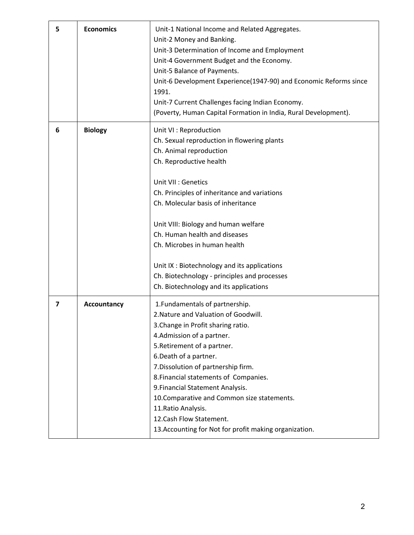| 5 | <b>Economics</b> | Unit-1 National Income and Related Aggregates.<br>Unit-2 Money and Banking.<br>Unit-3 Determination of Income and Employment<br>Unit-4 Government Budget and the Economy.<br>Unit-5 Balance of Payments.<br>Unit-6 Development Experience(1947-90) and Economic Reforms since<br>1991.<br>Unit-7 Current Challenges facing Indian Economy.<br>(Poverty, Human Capital Formation in India, Rural Development).                                                                              |
|---|------------------|--------------------------------------------------------------------------------------------------------------------------------------------------------------------------------------------------------------------------------------------------------------------------------------------------------------------------------------------------------------------------------------------------------------------------------------------------------------------------------------------|
| 6 | <b>Biology</b>   | Unit VI : Reproduction<br>Ch. Sexual reproduction in flowering plants<br>Ch. Animal reproduction<br>Ch. Reproductive health<br>Unit VII : Genetics<br>Ch. Principles of inheritance and variations<br>Ch. Molecular basis of inheritance<br>Unit VIII: Biology and human welfare<br>Ch. Human health and diseases<br>Ch. Microbes in human health<br>Unit IX: Biotechnology and its applications<br>Ch. Biotechnology - principles and processes<br>Ch. Biotechnology and its applications |
| 7 | Accountancy      | 1. Fundamentals of partnership.<br>2. Nature and Valuation of Goodwill.<br>3. Change in Profit sharing ratio.<br>4. Admission of a partner.<br>5. Retirement of a partner.<br>6. Death of a partner.<br>7. Dissolution of partnership firm.<br>8. Financial statements of Companies.<br>9. Financial Statement Analysis.<br>10. Comparative and Common size statements.<br>11. Ratio Analysis.<br>12. Cash Flow Statement.<br>13. Accounting for Not for profit making organization.       |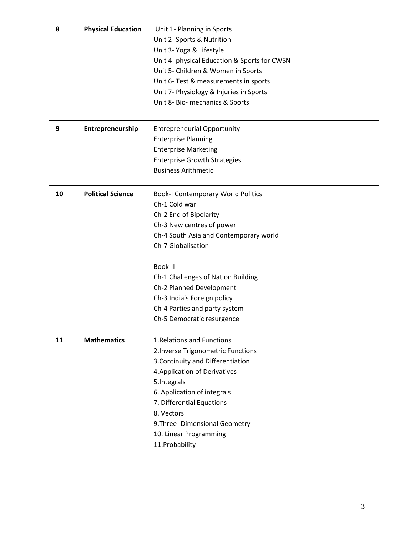| 8  | <b>Physical Education</b> | Unit 1- Planning in Sports<br>Unit 2- Sports & Nutrition<br>Unit 3- Yoga & Lifestyle<br>Unit 4- physical Education & Sports for CWSN<br>Unit 5- Children & Women in Sports<br>Unit 6- Test & measurements in sports<br>Unit 7- Physiology & Injuries in Sports<br>Unit 8- Bio- mechanics & Sports                                                            |
|----|---------------------------|--------------------------------------------------------------------------------------------------------------------------------------------------------------------------------------------------------------------------------------------------------------------------------------------------------------------------------------------------------------|
| 9  | Entrepreneurship          | <b>Entrepreneurial Opportunity</b><br><b>Enterprise Planning</b><br><b>Enterprise Marketing</b><br><b>Enterprise Growth Strategies</b><br><b>Business Arithmetic</b>                                                                                                                                                                                         |
| 10 | <b>Political Science</b>  | <b>Book-I Contemporary World Politics</b><br>Ch-1 Cold war<br>Ch-2 End of Bipolarity<br>Ch-3 New centres of power<br>Ch-4 South Asia and Contemporary world<br>Ch-7 Globalisation<br>Book-II<br>Ch-1 Challenges of Nation Building<br>Ch-2 Planned Development<br>Ch-3 India's Foreign policy<br>Ch-4 Parties and party system<br>Ch-5 Democratic resurgence |
| 11 | <b>Mathematics</b>        | 1. Relations and Functions<br>2. Inverse Trigonometric Functions<br>3. Continuity and Differentiation<br>4. Application of Derivatives<br>5. Integrals<br>6. Application of integrals<br>7. Differential Equations<br>8. Vectors<br>9. Three - Dimensional Geometry<br>10. Linear Programming<br>11. Probability                                             |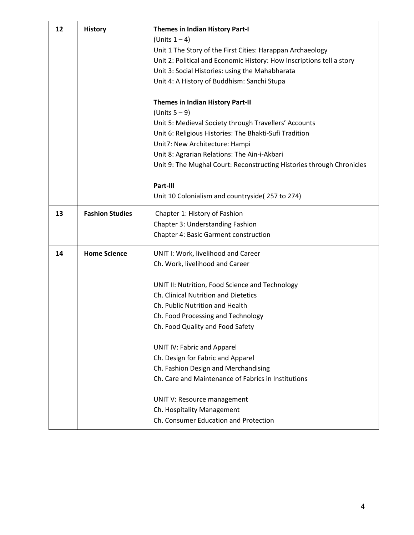| 12 | <b>History</b>         | <b>Themes in Indian History Part-I</b><br>(Units $1-4$ )<br>Unit 1 The Story of the First Cities: Harappan Archaeology<br>Unit 2: Political and Economic History: How Inscriptions tell a story<br>Unit 3: Social Histories: using the Mahabharata<br>Unit 4: A History of Buddhism: Sanchi Stupa |
|----|------------------------|---------------------------------------------------------------------------------------------------------------------------------------------------------------------------------------------------------------------------------------------------------------------------------------------------|
|    |                        | <b>Themes in Indian History Part-II</b><br>(Units $5-9$ )                                                                                                                                                                                                                                         |
|    |                        | Unit 5: Medieval Society through Travellers' Accounts                                                                                                                                                                                                                                             |
|    |                        | Unit 6: Religious Histories: The Bhakti-Sufi Tradition                                                                                                                                                                                                                                            |
|    |                        | Unit7: New Architecture: Hampi                                                                                                                                                                                                                                                                    |
|    |                        | Unit 8: Agrarian Relations: The Ain-i-Akbari                                                                                                                                                                                                                                                      |
|    |                        | Unit 9: The Mughal Court: Reconstructing Histories through Chronicles                                                                                                                                                                                                                             |
|    |                        | Part-III                                                                                                                                                                                                                                                                                          |
|    |                        | Unit 10 Colonialism and countryside (257 to 274)                                                                                                                                                                                                                                                  |
| 13 | <b>Fashion Studies</b> | Chapter 1: History of Fashion                                                                                                                                                                                                                                                                     |
|    |                        | Chapter 3: Understanding Fashion                                                                                                                                                                                                                                                                  |
|    |                        | <b>Chapter 4: Basic Garment construction</b>                                                                                                                                                                                                                                                      |
| 14 | <b>Home Science</b>    | UNIT I: Work, livelihood and Career                                                                                                                                                                                                                                                               |
|    |                        | Ch. Work, livelihood and Career                                                                                                                                                                                                                                                                   |
|    |                        | UNIT II: Nutrition, Food Science and Technology                                                                                                                                                                                                                                                   |
|    |                        | Ch. Clinical Nutrition and Dietetics                                                                                                                                                                                                                                                              |
|    |                        | Ch. Public Nutrition and Health                                                                                                                                                                                                                                                                   |
|    |                        | Ch. Food Processing and Technology                                                                                                                                                                                                                                                                |
|    |                        | Ch. Food Quality and Food Safety                                                                                                                                                                                                                                                                  |
|    |                        | <b>UNIT IV: Fabric and Apparel</b>                                                                                                                                                                                                                                                                |
|    |                        | Ch. Design for Fabric and Apparel                                                                                                                                                                                                                                                                 |
|    |                        | Ch. Fashion Design and Merchandising                                                                                                                                                                                                                                                              |
|    |                        | Ch. Care and Maintenance of Fabrics in Institutions                                                                                                                                                                                                                                               |
|    |                        | UNIT V: Resource management                                                                                                                                                                                                                                                                       |
|    |                        | Ch. Hospitality Management                                                                                                                                                                                                                                                                        |
|    |                        | Ch. Consumer Education and Protection                                                                                                                                                                                                                                                             |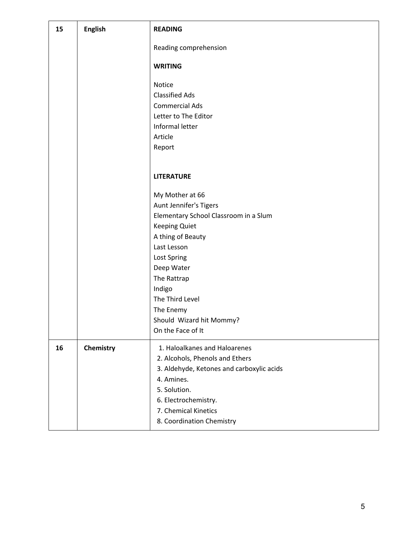| 15 | <b>English</b> | <b>READING</b>                            |
|----|----------------|-------------------------------------------|
|    |                | Reading comprehension                     |
|    |                | <b>WRITING</b>                            |
|    |                | Notice                                    |
|    |                | <b>Classified Ads</b>                     |
|    |                | <b>Commercial Ads</b>                     |
|    |                | Letter to The Editor                      |
|    |                | Informal letter                           |
|    |                | Article                                   |
|    |                | Report                                    |
|    |                |                                           |
|    |                | <b>LITERATURE</b>                         |
|    |                |                                           |
|    |                | My Mother at 66                           |
|    |                | Aunt Jennifer's Tigers                    |
|    |                | Elementary School Classroom in a Slum     |
|    |                | <b>Keeping Quiet</b>                      |
|    |                | A thing of Beauty                         |
|    |                | Last Lesson                               |
|    |                | Lost Spring                               |
|    |                | Deep Water                                |
|    |                | The Rattrap                               |
|    |                | Indigo                                    |
|    |                | The Third Level                           |
|    |                | The Enemy                                 |
|    |                | Should Wizard hit Mommy?                  |
|    |                | On the Face of It                         |
| 16 | Chemistry      | 1. Haloalkanes and Haloarenes             |
|    |                | 2. Alcohols, Phenols and Ethers           |
|    |                | 3. Aldehyde, Ketones and carboxylic acids |
|    |                | 4. Amines.                                |
|    |                | 5. Solution.                              |
|    |                | 6. Electrochemistry.                      |
|    |                | 7. Chemical Kinetics                      |
|    |                | 8. Coordination Chemistry                 |